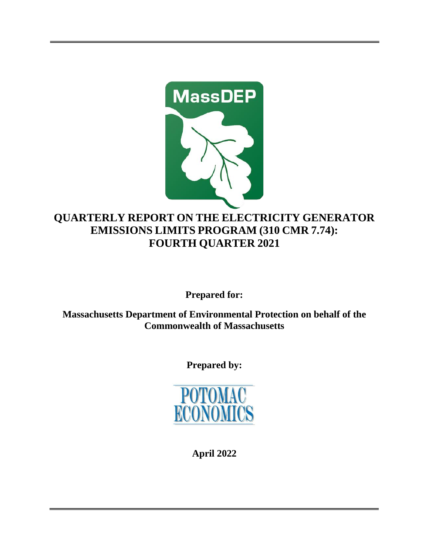

# **QUARTERLY REPORT ON THE ELECTRICITY GENERATOR EMISSIONS LIMITS PROGRAM (310 CMR 7.74): FOURTH QUARTER 2021**

**Prepared for:** 

**Massachusetts Department of Environmental Protection on behalf of the Commonwealth of Massachusetts**

**Prepared by:**



**April 2022**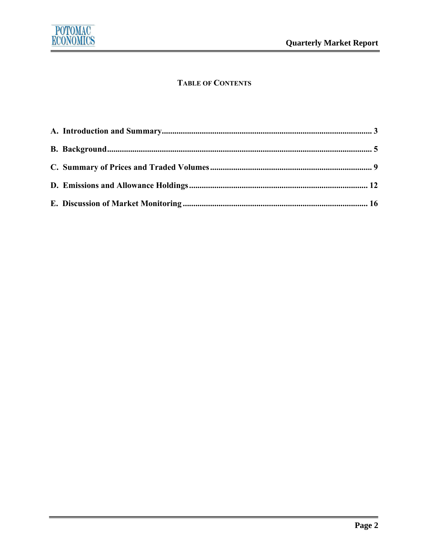

# **TABLE OF CONTENTS**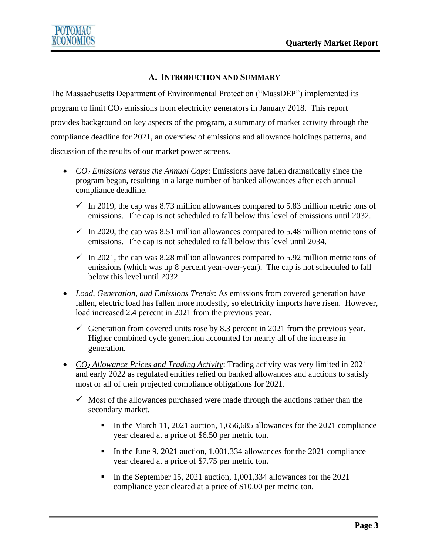## **A. INTRODUCTION AND SUMMARY**

<span id="page-2-0"></span>The Massachusetts Department of Environmental Protection ("MassDEP") implemented its program to limit  $CO<sub>2</sub>$  emissions from electricity generators in January 2018. This report provides background on key aspects of the program, a summary of market activity through the compliance deadline for 2021, an overview of emissions and allowance holdings patterns, and discussion of the results of our market power screens.

- *CO<sup>2</sup> Emissions versus the Annual Caps*: Emissions have fallen dramatically since the program began, resulting in a large number of banked allowances after each annual compliance deadline.
	- $\checkmark$  In 2019, the cap was 8.73 million allowances compared to 5.83 million metric tons of emissions. The cap is not scheduled to fall below this level of emissions until 2032.
	- $\checkmark$  In 2020, the cap was 8.51 million allowances compared to 5.48 million metric tons of emissions. The cap is not scheduled to fall below this level until 2034.
	- $\checkmark$  In 2021, the cap was 8.28 million allowances compared to 5.92 million metric tons of emissions (which was up 8 percent year-over-year). The cap is not scheduled to fall below this level until 2032.
- *Load, Generation, and Emissions Trends*: As emissions from covered generation have fallen, electric load has fallen more modestly, so electricity imports have risen. However, load increased 2.4 percent in 2021 from the previous year.
	- $\checkmark$  Generation from covered units rose by 8.3 percent in 2021 from the previous year. Higher combined cycle generation accounted for nearly all of the increase in generation.
- *CO<sup>2</sup> Allowance Prices and Trading Activity*: Trading activity was very limited in 2021 and early 2022 as regulated entities relied on banked allowances and auctions to satisfy most or all of their projected compliance obligations for 2021.
	- $\checkmark$  Most of the allowances purchased were made through the auctions rather than the secondary market.
		- In the March 11, 2021 auction, 1,656,685 allowances for the 2021 compliance year cleared at a price of \$6.50 per metric ton.
		- In the June 9, 2021 auction, 1,001,334 allowances for the 2021 compliance year cleared at a price of \$7.75 per metric ton.
		- In the September 15, 2021 auction, 1,001,334 allowances for the 2021 compliance year cleared at a price of \$10.00 per metric ton.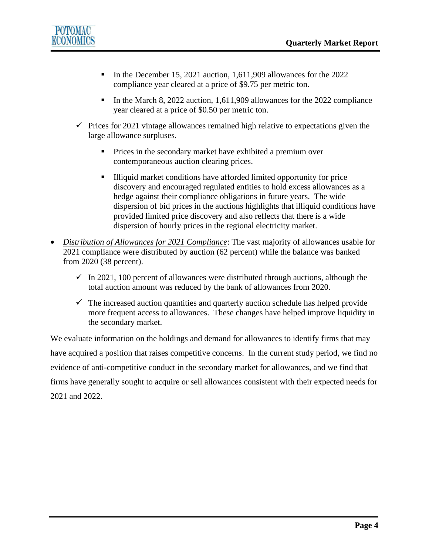

- In the December 15, 2021 auction, 1,611,909 allowances for the 2022 compliance year cleared at a price of \$9.75 per metric ton.
- In the March 8, 2022 auction, 1,611,909 allowances for the 2022 compliance year cleared at a price of \$0.50 per metric ton.
- $\checkmark$  Prices for 2021 vintage allowances remained high relative to expectations given the large allowance surpluses.
	- Prices in the secondary market have exhibited a premium over contemporaneous auction clearing prices.
	- Illiquid market conditions have afforded limited opportunity for price discovery and encouraged regulated entities to hold excess allowances as a hedge against their compliance obligations in future years. The wide dispersion of bid prices in the auctions highlights that illiquid conditions have provided limited price discovery and also reflects that there is a wide dispersion of hourly prices in the regional electricity market.
- *Distribution of Allowances for 2021 Compliance*: The vast majority of allowances usable for 2021 compliance were distributed by auction (62 percent) while the balance was banked from 2020 (38 percent).
	- $\checkmark$  In 2021, 100 percent of allowances were distributed through auctions, although the total auction amount was reduced by the bank of allowances from 2020.
	- $\checkmark$  The increased auction quantities and quarterly auction schedule has helped provide more frequent access to allowances. These changes have helped improve liquidity in the secondary market.

We evaluate information on the holdings and demand for allowances to identify firms that may have acquired a position that raises competitive concerns. In the current study period, we find no evidence of anti-competitive conduct in the secondary market for allowances, and we find that firms have generally sought to acquire or sell allowances consistent with their expected needs for 2021 and 2022.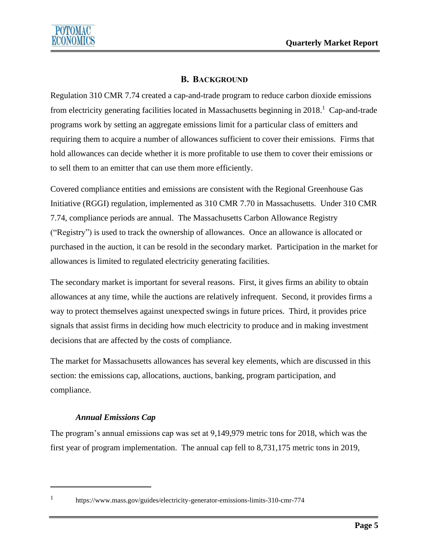

## **B. BACKGROUND**

<span id="page-4-0"></span>Regulation 310 CMR 7.74 created a cap-and-trade program to reduce carbon dioxide emissions from electricity generating facilities located in Massachusetts beginning in 2018.<sup>1</sup> Cap-and-trade programs work by setting an aggregate emissions limit for a particular class of emitters and requiring them to acquire a number of allowances sufficient to cover their emissions. Firms that hold allowances can decide whether it is more profitable to use them to cover their emissions or to sell them to an emitter that can use them more efficiently.

Covered compliance entities and emissions are consistent with the Regional Greenhouse Gas Initiative (RGGI) regulation, implemented as 310 CMR 7.70 in Massachusetts. Under 310 CMR 7.74, compliance periods are annual. The Massachusetts Carbon Allowance Registry ("Registry") is used to track the ownership of allowances. Once an allowance is allocated or purchased in the auction, it can be resold in the secondary market. Participation in the market for allowances is limited to regulated electricity generating facilities.

The secondary market is important for several reasons. First, it gives firms an ability to obtain allowances at any time, while the auctions are relatively infrequent. Second, it provides firms a way to protect themselves against unexpected swings in future prices. Third, it provides price signals that assist firms in deciding how much electricity to produce and in making investment decisions that are affected by the costs of compliance.

The market for Massachusetts allowances has several key elements, which are discussed in this section: the emissions cap, allocations, auctions, banking, program participation, and compliance.

## *Annual Emissions Cap*

The program's annual emissions cap was set at 9,149,979 metric tons for 2018, which was the first year of program implementation. The annual cap fell to 8,731,175 metric tons in 2019,

1

<https://www.mass.gov/guides/electricity-generator-emissions-limits-310-cmr-774>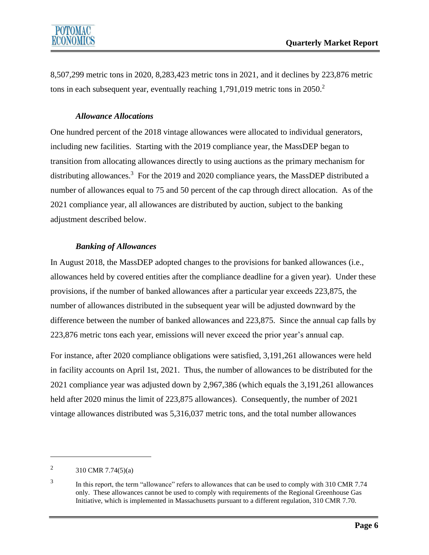8,507,299 metric tons in 2020, 8,283,423 metric tons in 2021, and it declines by 223,876 metric tons in each subsequent year, eventually reaching 1,791,019 metric tons in 2050. 2

## *Allowance Allocations*

One hundred percent of the 2018 vintage allowances were allocated to individual generators, including new facilities. Starting with the 2019 compliance year, the MassDEP began to transition from allocating allowances directly to using auctions as the primary mechanism for distributing allowances.<sup>3</sup> For the 2019 and 2020 compliance years, the MassDEP distributed a number of allowances equal to 75 and 50 percent of the cap through direct allocation. As of the 2021 compliance year, all allowances are distributed by auction, subject to the banking adjustment described below.

## *Banking of Allowances*

In August 2018, the MassDEP adopted changes to the provisions for banked allowances (i.e., allowances held by covered entities after the compliance deadline for a given year). Under these provisions, if the number of banked allowances after a particular year exceeds 223,875, the number of allowances distributed in the subsequent year will be adjusted downward by the difference between the number of banked allowances and 223,875. Since the annual cap falls by 223,876 metric tons each year, emissions will never exceed the prior year's annual cap.

For instance, after 2020 compliance obligations were satisfied, 3,191,261 allowances were held in facility accounts on April 1st, 2021. Thus, the number of allowances to be distributed for the 2021 compliance year was adjusted down by 2,967,386 (which equals the 3,191,261 allowances held after 2020 minus the limit of 223,875 allowances). Consequently, the number of 2021 vintage allowances distributed was 5,316,037 metric tons, and the total number allowances

<sup>2</sup> 310 CMR 7.74(5)(a)

<sup>3</sup> In this report, the term "allowance" refers to allowances that can be used to comply with 310 CMR 7.74 only. These allowances cannot be used to comply with requirements of the Regional Greenhouse Gas Initiative, which is implemented in Massachusetts pursuant to a different regulation, 310 CMR 7.70.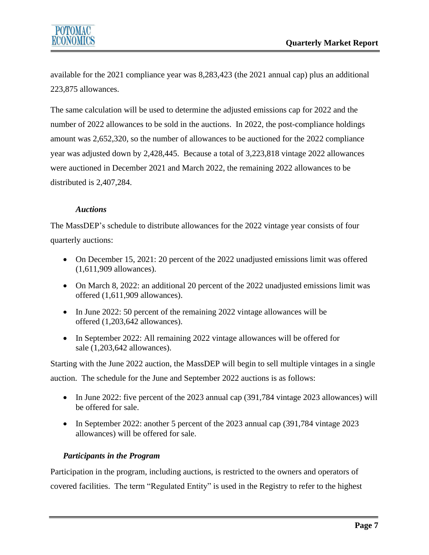

available for the 2021 compliance year was 8,283,423 (the 2021 annual cap) plus an additional 223,875 allowances.

The same calculation will be used to determine the adjusted emissions cap for 2022 and the number of 2022 allowances to be sold in the auctions. In 2022, the post-compliance holdings amount was 2,652,320, so the number of allowances to be auctioned for the 2022 compliance year was adjusted down by 2,428,445. Because a total of 3,223,818 vintage 2022 allowances were auctioned in December 2021 and March 2022, the remaining 2022 allowances to be distributed is 2,407,284.

#### *Auctions*

The MassDEP's schedule to distribute allowances for the 2022 vintage year consists of four quarterly auctions:

- On December 15, 2021: 20 percent of the 2022 unadjusted emissions limit was offered (1,611,909 allowances).
- On March 8, 2022: an additional 20 percent of the 2022 unadjusted emissions limit was offered (1,611,909 allowances).
- In June 2022: 50 percent of the remaining 2022 vintage allowances will be offered (1,203,642 allowances).
- In September 2022: All remaining 2022 vintage allowances will be offered for sale (1,203,642 allowances).

Starting with the June 2022 auction, the MassDEP will begin to sell multiple vintages in a single auction. The schedule for the June and September 2022 auctions is as follows:

- In June 2022: five percent of the 2023 annual cap (391,784 vintage 2023 allowances) will be offered for sale.
- In September 2022: another 5 percent of the 2023 annual cap (391,784 vintage 2023) allowances) will be offered for sale.

## *Participants in the Program*

Participation in the program, including auctions, is restricted to the owners and operators of covered facilities. The term "Regulated Entity" is used in the Registry to refer to the highest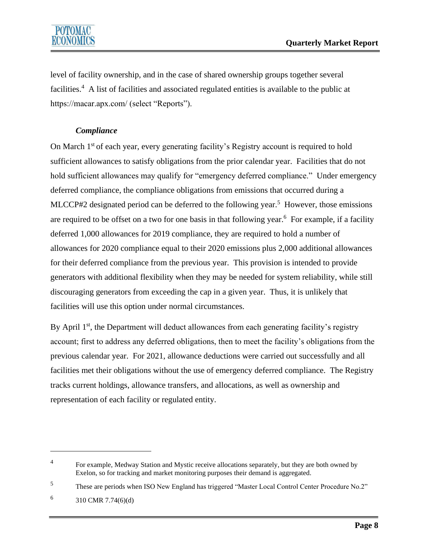level of facility ownership, and in the case of shared ownership groups together several facilities.<sup>4</sup> A list of facilities and associated regulated entities is available to the public at https://macar.apx.com/ (select "Reports").

## *Compliance*

On March 1st of each year, every generating facility's Registry account is required to hold sufficient allowances to satisfy obligations from the prior calendar year. Facilities that do not hold sufficient allowances may qualify for "emergency deferred compliance." Under emergency deferred compliance, the compliance obligations from emissions that occurred during a MLCCP#2 designated period can be deferred to the following year.<sup>5</sup> However, those emissions are required to be offset on a two for one basis in that following year.<sup>6</sup> For example, if a facility deferred 1,000 allowances for 2019 compliance, they are required to hold a number of allowances for 2020 compliance equal to their 2020 emissions plus 2,000 additional allowances for their deferred compliance from the previous year. This provision is intended to provide generators with additional flexibility when they may be needed for system reliability, while still discouraging generators from exceeding the cap in a given year. Thus, it is unlikely that facilities will use this option under normal circumstances.

By April 1<sup>st</sup>, the Department will deduct allowances from each generating facility's registry account; first to address any deferred obligations, then to meet the facility's obligations from the previous calendar year. For 2021, allowance deductions were carried out successfully and all facilities met their obligations without the use of emergency deferred compliance. The Registry tracks current holdings, allowance transfers, and allocations, as well as ownership and representation of each facility or regulated entity.

<sup>4</sup> For example, Medway Station and Mystic receive allocations separately, but they are both owned by Exelon, so for tracking and market monitoring purposes their demand is aggregated.

<sup>5</sup> These are periods when ISO New England has triggered "Master Local Control Center Procedure No.2"

<sup>6</sup> 310 CMR 7.74(6)(d)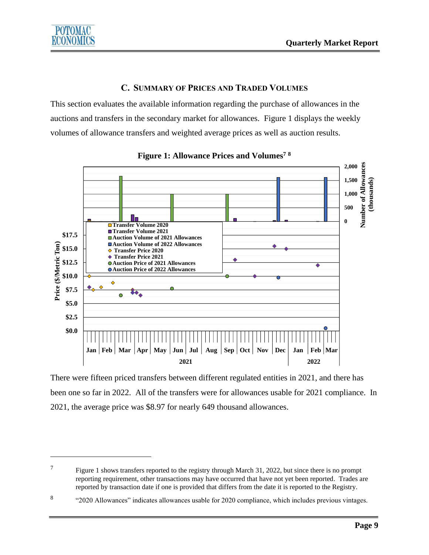# **C. SUMMARY OF PRICES AND TRADED VOLUMES**

<span id="page-8-0"></span>This section evaluates the available information regarding the purchase of allowances in the auctions and transfers in the secondary market for allowances. Figure 1 displays the weekly volumes of allowance transfers and weighted average prices as well as auction results.





There were fifteen priced transfers between different regulated entities in 2021, and there has been one so far in 2022. All of the transfers were for allowances usable for 2021 compliance. In 2021, the average price was \$8.97 for nearly 649 thousand allowances.

<sup>7</sup> Figure 1 shows transfers reported to the registry through March 31, 2022, but since there is no prompt reporting requirement, other transactions may have occurred that have not yet been reported. Trades are reported by transaction date if one is provided that differs from the date it is reported to the Registry.

<sup>8</sup> "2020 Allowances" indicates allowances usable for 2020 compliance, which includes previous vintages.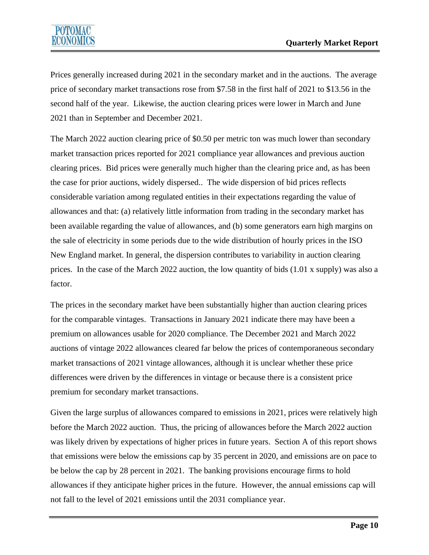Prices generally increased during 2021 in the secondary market and in the auctions. The average price of secondary market transactions rose from \$7.58 in the first half of 2021 to \$13.56 in the second half of the year. Likewise, the auction clearing prices were lower in March and June 2021 than in September and December 2021.

The March 2022 auction clearing price of \$0.50 per metric ton was much lower than secondary market transaction prices reported for 2021 compliance year allowances and previous auction clearing prices. Bid prices were generally much higher than the clearing price and, as has been the case for prior auctions, widely dispersed.. The wide dispersion of bid prices reflects considerable variation among regulated entities in their expectations regarding the value of allowances and that: (a) relatively little information from trading in the secondary market has been available regarding the value of allowances, and (b) some generators earn high margins on the sale of electricity in some periods due to the wide distribution of hourly prices in the ISO New England market. In general, the dispersion contributes to variability in auction clearing prices. In the case of the March 2022 auction, the low quantity of bids (1.01 x supply) was also a factor.

The prices in the secondary market have been substantially higher than auction clearing prices for the comparable vintages. Transactions in January 2021 indicate there may have been a premium on allowances usable for 2020 compliance. The December 2021 and March 2022 auctions of vintage 2022 allowances cleared far below the prices of contemporaneous secondary market transactions of 2021 vintage allowances, although it is unclear whether these price differences were driven by the differences in vintage or because there is a consistent price premium for secondary market transactions.

Given the large surplus of allowances compared to emissions in 2021, prices were relatively high before the March 2022 auction. Thus, the pricing of allowances before the March 2022 auction was likely driven by expectations of higher prices in future years. Section A of this report shows that emissions were below the emissions cap by 35 percent in 2020, and emissions are on pace to be below the cap by 28 percent in 2021. The banking provisions encourage firms to hold allowances if they anticipate higher prices in the future. However, the annual emissions cap will not fall to the level of 2021 emissions until the 2031 compliance year.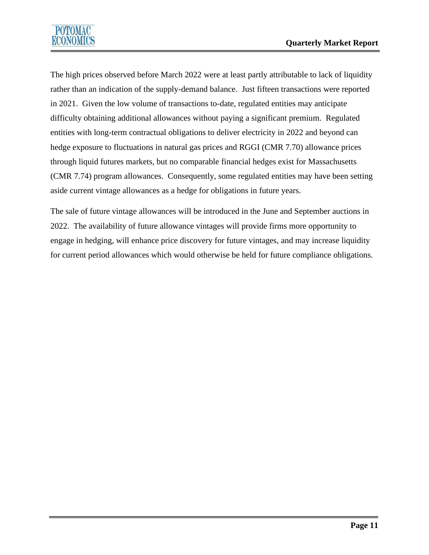

The high prices observed before March 2022 were at least partly attributable to lack of liquidity rather than an indication of the supply-demand balance. Just fifteen transactions were reported in 2021. Given the low volume of transactions to-date, regulated entities may anticipate difficulty obtaining additional allowances without paying a significant premium. Regulated entities with long-term contractual obligations to deliver electricity in 2022 and beyond can hedge exposure to fluctuations in natural gas prices and RGGI (CMR 7.70) allowance prices through liquid futures markets, but no comparable financial hedges exist for Massachusetts (CMR 7.74) program allowances. Consequently, some regulated entities may have been setting aside current vintage allowances as a hedge for obligations in future years.

The sale of future vintage allowances will be introduced in the June and September auctions in 2022. The availability of future allowance vintages will provide firms more opportunity to engage in hedging, will enhance price discovery for future vintages, and may increase liquidity for current period allowances which would otherwise be held for future compliance obligations.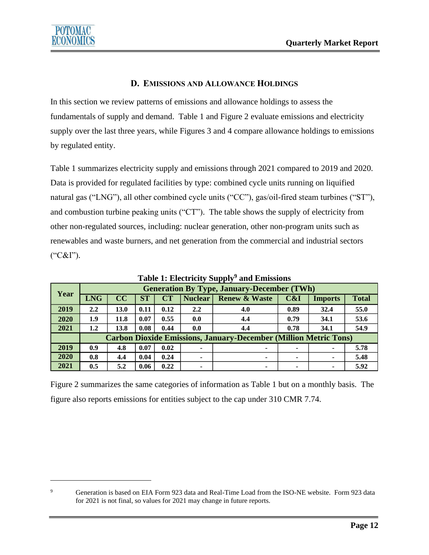## **D. EMISSIONS AND ALLOWANCE HOLDINGS**

<span id="page-11-0"></span>In this section we review patterns of emissions and allowance holdings to assess the fundamentals of supply and demand. Table 1 and Figure 2 evaluate emissions and electricity supply over the last three years, while Figures 3 and 4 compare allowance holdings to emissions by regulated entity.

Table 1 summarizes electricity supply and emissions through 2021 compared to 2019 and 2020. Data is provided for regulated facilities by type: combined cycle units running on liquified natural gas ("LNG"), all other combined cycle units ("CC"), gas/oil-fired steam turbines ("ST"), and combustion turbine peaking units ("CT"). The table shows the supply of electricity from other non-regulated sources, including: nuclear generation, other non-program units such as renewables and waste burners, and net generation from the commercial and industrial sectors ("C&I").

| Year | -- -<br><b>Generation By Type, January-December (TWh)</b>               |      |           |           |                |                          |                |                |              |  |  |
|------|-------------------------------------------------------------------------|------|-----------|-----------|----------------|--------------------------|----------------|----------------|--------------|--|--|
|      | <b>LNG</b>                                                              | CC   | <b>ST</b> | <b>CT</b> | <b>Nuclear</b> | <b>Renew &amp; Waste</b> | C&I            | <b>Imports</b> | <b>Total</b> |  |  |
| 2019 | $2.2\phantom{0}$                                                        | 13.0 | 0.11      | 0.12      | 2.2            | 4.0                      | 0.89           | 32.4           | 55.0         |  |  |
| 2020 | 1.9                                                                     | 11.8 | 0.07      | 0.55      | 0.0            | 4.4                      | 0.79           | 34.1           | 53.6         |  |  |
| 2021 | 1.2                                                                     | 13.8 | 0.08      | 0.44      | 0.0            | 4.4                      | 0.78           | 34.1           | 54.9         |  |  |
|      | <b>Carbon Dioxide Emissions, January-December (Million Metric Tons)</b> |      |           |           |                |                          |                |                |              |  |  |
| 2019 | 0.9                                                                     | 4.8  | 0.07      | 0.02      | ٠              | $\overline{\phantom{a}}$ | $\blacksquare$ | ۰              | 5.78         |  |  |
| 2020 | 0.8                                                                     | 4.4  | 0.04      | 0.24      | ۰              |                          | $\blacksquare$ | ۰              | 5.48         |  |  |
| 2021 | 0.5                                                                     | 5.2  | 0.06      | 0.22      | ۰              | $\overline{\phantom{a}}$ | $\blacksquare$ | ۰              | 5.92         |  |  |

**Table 1: Electricity Supply<sup>9</sup> and Emissions**

Figure 2 summarizes the same categories of information as Table 1 but on a monthly basis. The figure also reports emissions for entities subject to the cap under 310 CMR 7.74.

<sup>&</sup>lt;sup>9</sup> Generation is based on EIA Form 923 data and Real-Time Load from the ISO-NE website. Form 923 data for 2021 is not final, so values for 2021 may change in future reports.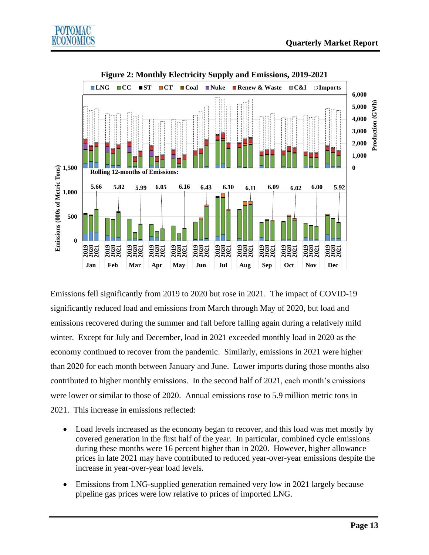



**Figure 2: Monthly Electricity Supply and Emissions, 2019-2021**

Emissions fell significantly from 2019 to 2020 but rose in 2021. The impact of COVID-19 significantly reduced load and emissions from March through May of 2020, but load and emissions recovered during the summer and fall before falling again during a relatively mild winter. Except for July and December, load in 2021 exceeded monthly load in 2020 as the economy continued to recover from the pandemic. Similarly, emissions in 2021 were higher than 2020 for each month between January and June. Lower imports during those months also contributed to higher monthly emissions. In the second half of 2021, each month's emissions were lower or similar to those of 2020. Annual emissions rose to 5.9 million metric tons in 2021. This increase in emissions reflected:

- Load levels increased as the economy began to recover, and this load was met mostly by covered generation in the first half of the year. In particular, combined cycle emissions during these months were 16 percent higher than in 2020. However, higher allowance prices in late 2021 may have contributed to reduced year-over-year emissions despite the increase in year-over-year load levels.
- Emissions from LNG-supplied generation remained very low in 2021 largely because pipeline gas prices were low relative to prices of imported LNG.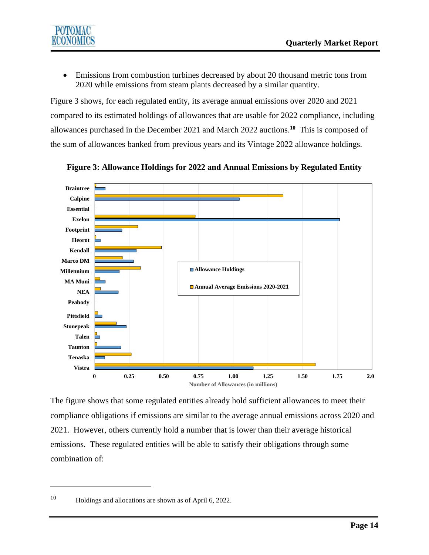

• Emissions from combustion turbines decreased by about 20 thousand metric tons from 2020 while emissions from steam plants decreased by a similar quantity.

Figure 3 shows, for each regulated entity, its average annual emissions over 2020 and 2021 compared to its estimated holdings of allowances that are usable for 2022 compliance, including allowances purchased in the December 2021 and March 2022 auctions. **10** This is composed of the sum of allowances banked from previous years and its Vintage 2022 allowance holdings.



**Figure 3: Allowance Holdings for 2022 and Annual Emissions by Regulated Entity**

The figure shows that some regulated entities already hold sufficient allowances to meet their compliance obligations if emissions are similar to the average annual emissions across 2020 and 2021. However, others currently hold a number that is lower than their average historical emissions. These regulated entities will be able to satisfy their obligations through some combination of:

<sup>10</sup> Holdings and allocations are shown as of April 6, 2022.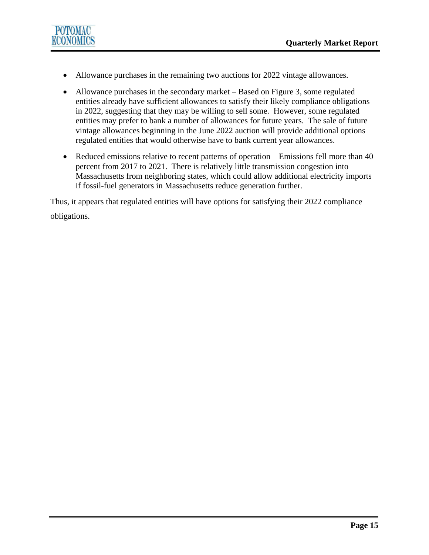

- Allowance purchases in the remaining two auctions for 2022 vintage allowances.
- Allowance purchases in the secondary market Based on Figure 3, some regulated entities already have sufficient allowances to satisfy their likely compliance obligations in 2022, suggesting that they may be willing to sell some. However, some regulated entities may prefer to bank a number of allowances for future years. The sale of future vintage allowances beginning in the June 2022 auction will provide additional options regulated entities that would otherwise have to bank current year allowances.
- Reduced emissions relative to recent patterns of operation Emissions fell more than 40 percent from 2017 to 2021. There is relatively little transmission congestion into Massachusetts from neighboring states, which could allow additional electricity imports if fossil-fuel generators in Massachusetts reduce generation further.

Thus, it appears that regulated entities will have options for satisfying their 2022 compliance obligations.